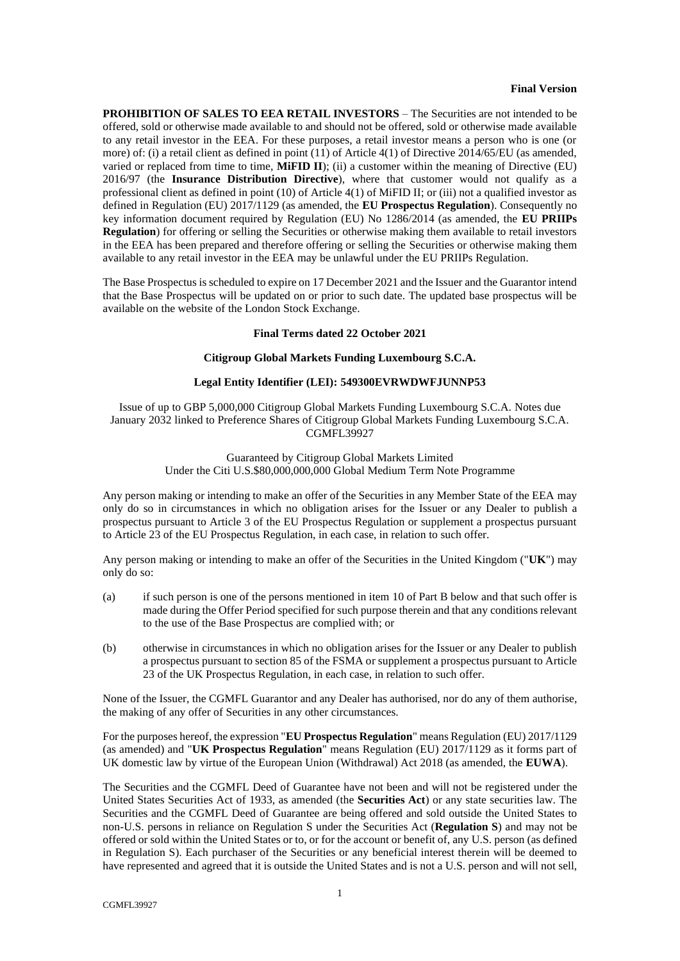#### **Final Version**

**PROHIBITION OF SALES TO EEA RETAIL INVESTORS** – The Securities are not intended to be offered, sold or otherwise made available to and should not be offered, sold or otherwise made available to any retail investor in the EEA. For these purposes, a retail investor means a person who is one (or more) of: (i) a retail client as defined in point (11) of Article 4(1) of Directive 2014/65/EU (as amended, varied or replaced from time to time, **MiFID II**); (ii) a customer within the meaning of Directive (EU) 2016/97 (the **Insurance Distribution Directive**), where that customer would not qualify as a professional client as defined in point (10) of Article 4(1) of MiFID II; or (iii) not a qualified investor as defined in Regulation (EU) 2017/1129 (as amended, the **EU Prospectus Regulation**). Consequently no key information document required by Regulation (EU) No 1286/2014 (as amended, the **EU PRIIPs Regulation**) for offering or selling the Securities or otherwise making them available to retail investors in the EEA has been prepared and therefore offering or selling the Securities or otherwise making them available to any retail investor in the EEA may be unlawful under the EU PRIIPs Regulation.

The Base Prospectus is scheduled to expire on 17 December 2021 and the Issuer and the Guarantor intend that the Base Prospectus will be updated on or prior to such date. The updated base prospectus will be available on the website of the London Stock Exchange.

#### **Final Terms dated 22 October 2021**

#### **Citigroup Global Markets Funding Luxembourg S.C.A.**

# **Legal Entity Identifier (LEI): 549300EVRWDWFJUNNP53**

Issue of up to GBP 5,000,000 Citigroup Global Markets Funding Luxembourg S.C.A. Notes due January 2032 linked to Preference Shares of Citigroup Global Markets Funding Luxembourg S.C.A. CGMFL39927

> Guaranteed by Citigroup Global Markets Limited Under the Citi U.S.\$80,000,000,000 Global Medium Term Note Programme

Any person making or intending to make an offer of the Securities in any Member State of the EEA may only do so in circumstances in which no obligation arises for the Issuer or any Dealer to publish a prospectus pursuant to Article 3 of the EU Prospectus Regulation or supplement a prospectus pursuant to Article 23 of the EU Prospectus Regulation, in each case, in relation to such offer.

Any person making or intending to make an offer of the Securities in the United Kingdom ("**UK**") may only do so:

- (a) if such person is one of the persons mentioned in item [10](#page-10-0) of [Part B](#page-8-0) below and that such offer is made during the Offer Period specified for such purpose therein and that any conditions relevant to the use of the Base Prospectus are complied with; or
- (b) otherwise in circumstances in which no obligation arises for the Issuer or any Dealer to publish a prospectus pursuant to section 85 of the FSMA or supplement a prospectus pursuant to Article 23 of the UK Prospectus Regulation, in each case, in relation to such offer.

None of the Issuer, the CGMFL Guarantor and any Dealer has authorised, nor do any of them authorise, the making of any offer of Securities in any other circumstances.

For the purposes hereof, the expression "**EU Prospectus Regulation**" means Regulation (EU) 2017/1129 (as amended) and "**UK Prospectus Regulation**" means Regulation (EU) 2017/1129 as it forms part of UK domestic law by virtue of the European Union (Withdrawal) Act 2018 (as amended, the **EUWA**).

The Securities and the CGMFL Deed of Guarantee have not been and will not be registered under the United States Securities Act of 1933, as amended (the **Securities Act**) or any state securities law. The Securities and the CGMFL Deed of Guarantee are being offered and sold outside the United States to non-U.S. persons in reliance on Regulation S under the Securities Act (**Regulation S**) and may not be offered or sold within the United States or to, or for the account or benefit of, any U.S. person (as defined in Regulation S). Each purchaser of the Securities or any beneficial interest therein will be deemed to have represented and agreed that it is outside the United States and is not a U.S. person and will not sell,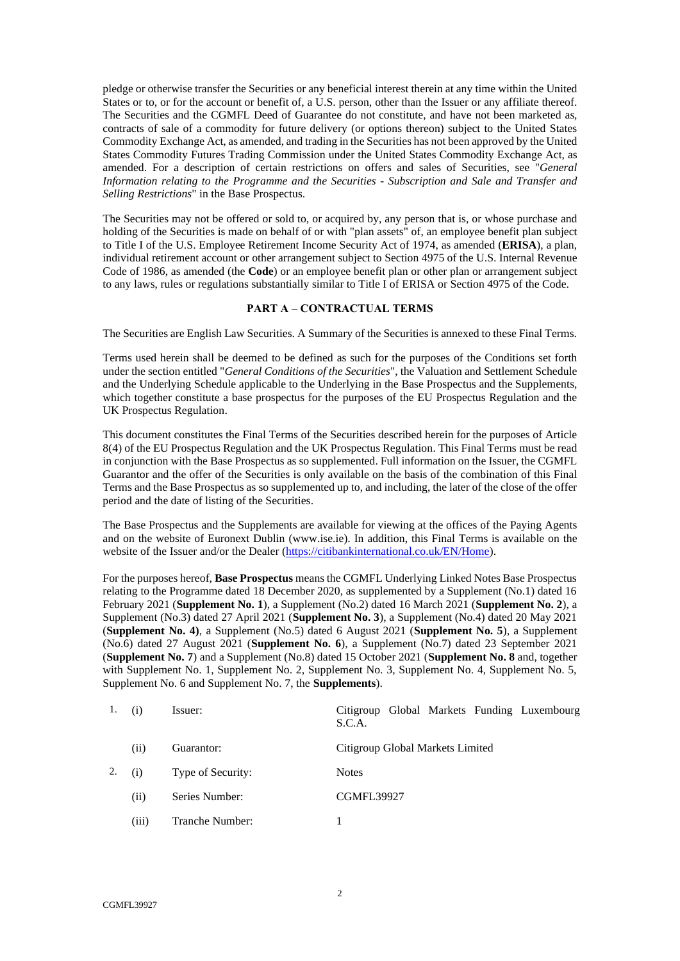pledge or otherwise transfer the Securities or any beneficial interest therein at any time within the United States or to, or for the account or benefit of, a U.S. person, other than the Issuer or any affiliate thereof. The Securities and the CGMFL Deed of Guarantee do not constitute, and have not been marketed as, contracts of sale of a commodity for future delivery (or options thereon) subject to the United States Commodity Exchange Act, as amended, and trading in the Securities has not been approved by the United States Commodity Futures Trading Commission under the United States Commodity Exchange Act, as amended. For a description of certain restrictions on offers and sales of Securities, see "*General Information relating to the Programme and the Securities - Subscription and Sale and Transfer and Selling Restrictions*" in the Base Prospectus.

The Securities may not be offered or sold to, or acquired by, any person that is, or whose purchase and holding of the Securities is made on behalf of or with "plan assets" of, an employee benefit plan subject to Title I of the U.S. Employee Retirement Income Security Act of 1974, as amended (**ERISA**), a plan, individual retirement account or other arrangement subject to Section 4975 of the U.S. Internal Revenue Code of 1986, as amended (the **Code**) or an employee benefit plan or other plan or arrangement subject to any laws, rules or regulations substantially similar to Title I of ERISA or Section 4975 of the Code.

# <span id="page-1-0"></span>**PART A – CONTRACTUAL TERMS**

The Securities are English Law Securities. A Summary of the Securities is annexed to these Final Terms.

Terms used herein shall be deemed to be defined as such for the purposes of the Conditions set forth under the section entitled "*General Conditions of the Securities*", the Valuation and Settlement Schedule and the Underlying Schedule applicable to the Underlying in the Base Prospectus and the Supplements, which together constitute a base prospectus for the purposes of the EU Prospectus Regulation and the UK Prospectus Regulation.

This document constitutes the Final Terms of the Securities described herein for the purposes of Article 8(4) of the EU Prospectus Regulation and the UK Prospectus Regulation. This Final Terms must be read in conjunction with the Base Prospectus as so supplemented. Full information on the Issuer, the CGMFL Guarantor and the offer of the Securities is only available on the basis of the combination of this Final Terms and the Base Prospectus as so supplemented up to, and including, the later of the close of the offer period and the date of listing of the Securities.

The Base Prospectus and the Supplements are available for viewing at the offices of the Paying Agents and on the website of Euronext Dublin (www.ise.ie). In addition, this Final Terms is available on the website of the Issuer and/or the Dealer [\(https://citibankinternational.co.uk/EN/Home\)](https://citibankinternational.co.uk/EN/Home).

For the purposes hereof, **Base Prospectus** means the CGMFL Underlying Linked Notes Base Prospectus relating to the Programme dated 18 December 2020, as supplemented by a Supplement (No.1) dated 16 February 2021 (**Supplement No. 1**), a Supplement (No.2) dated 16 March 2021 (**Supplement No. 2**), a Supplement (No.3) dated 27 April 2021 (**Supplement No. 3**), a Supplement (No.4) dated 20 May 2021 (**Supplement No. 4)**, a Supplement (No.5) dated 6 August 2021 (**Supplement No. 5**), a Supplement (No.6) dated 27 August 2021 (**Supplement No. 6**), a Supplement (No.7) dated 23 September 2021 (**Supplement No. 7**) and a Supplement (No.8) dated 15 October 2021 (**Supplement No. 8** and, together with Supplement No. 1, Supplement No. 2, Supplement No. 3, Supplement No. 4, Supplement No. 5, Supplement No. 6 and Supplement No. 7, the **Supplements**).

| 1. | (i)   | Issuer:           | Citigroup Global Markets Funding Luxembourg<br>S.C.A. |
|----|-------|-------------------|-------------------------------------------------------|
|    | (i)   | Guarantor:        | Citigroup Global Markets Limited                      |
| 2. | (i)   | Type of Security: | <b>Notes</b>                                          |
|    | (ii)  | Series Number:    | <b>CGMFL39927</b>                                     |
|    | (iii) | Tranche Number:   |                                                       |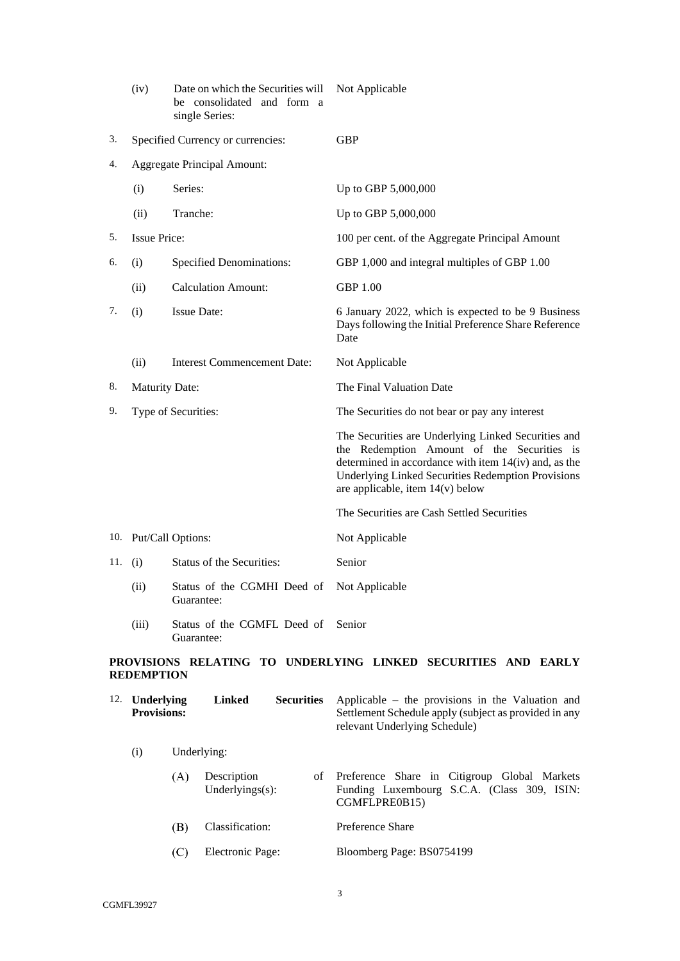|     | (iv)                  | Date on which the Securities will<br>be consolidated and form a<br>single Series: | Not Applicable                                                                                                                                                                                                                                              |
|-----|-----------------------|-----------------------------------------------------------------------------------|-------------------------------------------------------------------------------------------------------------------------------------------------------------------------------------------------------------------------------------------------------------|
| 3.  |                       | Specified Currency or currencies:                                                 | <b>GBP</b>                                                                                                                                                                                                                                                  |
| 4.  |                       | Aggregate Principal Amount:                                                       |                                                                                                                                                                                                                                                             |
|     | (i)                   | Series:                                                                           | Up to GBP 5,000,000                                                                                                                                                                                                                                         |
|     | (ii)                  | Tranche:                                                                          | Up to GBP 5,000,000                                                                                                                                                                                                                                         |
| 5.  | <b>Issue Price:</b>   |                                                                                   | 100 per cent. of the Aggregate Principal Amount                                                                                                                                                                                                             |
| 6.  | (i)                   | <b>Specified Denominations:</b>                                                   | GBP 1,000 and integral multiples of GBP 1.00                                                                                                                                                                                                                |
|     | (ii)                  | <b>Calculation Amount:</b>                                                        | <b>GBP 1.00</b>                                                                                                                                                                                                                                             |
| 7.  | (i)                   | <b>Issue Date:</b>                                                                | 6 January 2022, which is expected to be 9 Business<br>Days following the Initial Preference Share Reference<br>Date                                                                                                                                         |
|     | (ii)                  | <b>Interest Commencement Date:</b>                                                | Not Applicable                                                                                                                                                                                                                                              |
| 8.  | <b>Maturity Date:</b> |                                                                                   | The Final Valuation Date                                                                                                                                                                                                                                    |
| 9.  |                       | Type of Securities:                                                               | The Securities do not bear or pay any interest                                                                                                                                                                                                              |
|     |                       |                                                                                   | The Securities are Underlying Linked Securities and<br>the Redemption Amount of the Securities is<br>determined in accordance with item 14(iv) and, as the<br><b>Underlying Linked Securities Redemption Provisions</b><br>are applicable, item 14(v) below |
|     |                       |                                                                                   | The Securities are Cash Settled Securities                                                                                                                                                                                                                  |
|     |                       | 10. Put/Call Options:                                                             | Not Applicable                                                                                                                                                                                                                                              |
| 11. | (i)                   | Status of the Securities:                                                         | Senior                                                                                                                                                                                                                                                      |
|     | (ii)                  | Status of the CGMHI Deed of<br>Guarantee:                                         | Not Applicable                                                                                                                                                                                                                                              |
|     | (iii)                 | Status of the CGMFL Deed of<br>Guarantee:                                         | Senior                                                                                                                                                                                                                                                      |
|     |                       |                                                                                   | PROVISIONS RELATING TO HNDERLVING LINKED SECHRITIES AND EARLY                                                                                                                                                                                               |

# **PROVISIONS RELATING TO UNDERLYING LINKED SECURITIES AND EARLY REDEMPTION**

| 12. | Underlying<br><b>Provisions:</b> |     | Linked                             | <b>Securities</b> | Applicable – the provisions in the Valuation and<br>Settlement Schedule apply (subject as provided in any<br>relevant Underlying Schedule) |
|-----|----------------------------------|-----|------------------------------------|-------------------|--------------------------------------------------------------------------------------------------------------------------------------------|
|     | (i)                              |     | Underlying:                        |                   |                                                                                                                                            |
|     |                                  | (A) | Description<br>Underlyings $(s)$ : | οf                | Preference Share in Citigroup Global Markets<br>Funding Luxembourg S.C.A. (Class 309, ISIN:<br>CGMFLPRE0B15)                               |
|     |                                  | (B) | Classification:                    |                   | Preference Share                                                                                                                           |
|     |                                  | (C  | Electronic Page:                   |                   | Bloomberg Page: BS0754199                                                                                                                  |
|     |                                  |     |                                    |                   |                                                                                                                                            |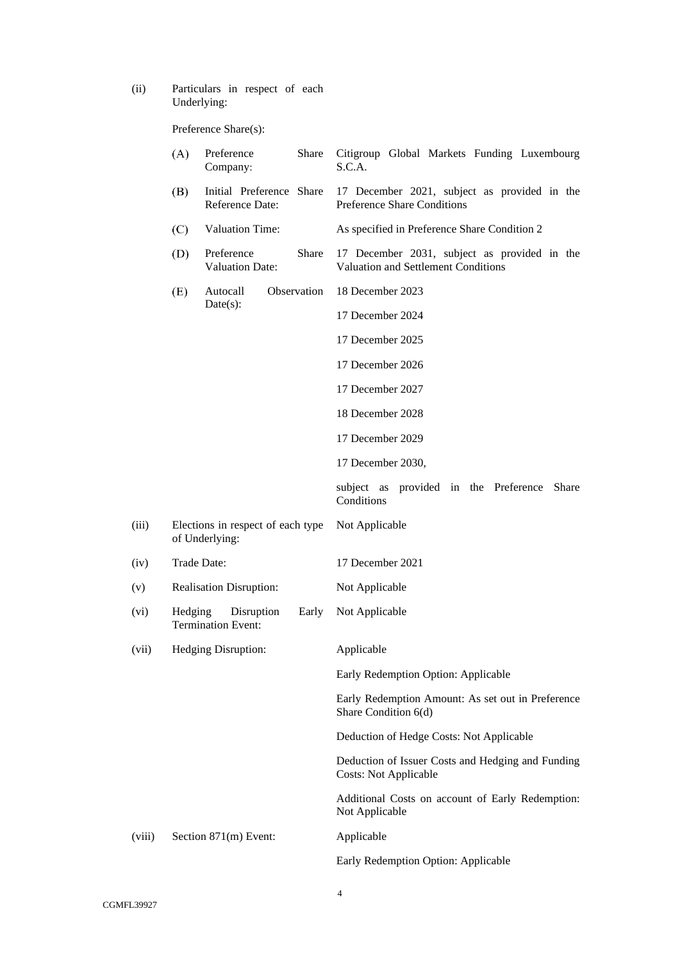(ii) Particulars in respect of each Underlying:

Preference Share(s):

|        | (A)     | Preference<br>Company:                              | Share       | Citigroup Global Markets Funding Luxembourg<br>S.C.A.                               |
|--------|---------|-----------------------------------------------------|-------------|-------------------------------------------------------------------------------------|
|        | (B)     | Initial Preference Share<br>Reference Date:         |             | 17 December 2021, subject as provided in the<br><b>Preference Share Conditions</b>  |
|        | (C)     | Valuation Time:                                     |             | As specified in Preference Share Condition 2                                        |
|        | (D)     | Preference<br><b>Valuation Date:</b>                | Share       | 17 December 2031, subject as provided in the<br>Valuation and Settlement Conditions |
|        | (E)     | Autocall                                            | Observation | 18 December 2023                                                                    |
|        |         | Date(s):                                            |             | 17 December 2024                                                                    |
|        |         |                                                     |             | 17 December 2025                                                                    |
|        |         |                                                     |             | 17 December 2026                                                                    |
|        |         |                                                     |             | 17 December 2027                                                                    |
|        |         |                                                     |             | 18 December 2028                                                                    |
|        |         |                                                     |             | 17 December 2029                                                                    |
|        |         |                                                     |             | 17 December 2030,                                                                   |
|        |         |                                                     |             | subject as provided in the Preference Share<br>Conditions                           |
| (iii)  |         | Elections in respect of each type<br>of Underlying: |             | Not Applicable                                                                      |
| (iv)   |         | Trade Date:                                         |             | 17 December 2021                                                                    |
| (v)    |         | <b>Realisation Disruption:</b>                      |             | Not Applicable                                                                      |
| (vi)   | Hedging | Disruption<br><b>Termination Event:</b>             | Early       | Not Applicable                                                                      |
| (vii)  |         | Hedging Disruption:                                 |             | Applicable                                                                          |
|        |         |                                                     |             | Early Redemption Option: Applicable                                                 |
|        |         |                                                     |             | Early Redemption Amount: As set out in Preference<br>Share Condition 6(d)           |
|        |         |                                                     |             | Deduction of Hedge Costs: Not Applicable                                            |
|        |         |                                                     |             | Deduction of Issuer Costs and Hedging and Funding<br><b>Costs: Not Applicable</b>   |
|        |         |                                                     |             | Additional Costs on account of Early Redemption:<br>Not Applicable                  |
| (viii) |         | Section 871(m) Event:                               |             | Applicable                                                                          |
|        |         |                                                     |             | Early Redemption Option: Applicable                                                 |
|        |         |                                                     |             |                                                                                     |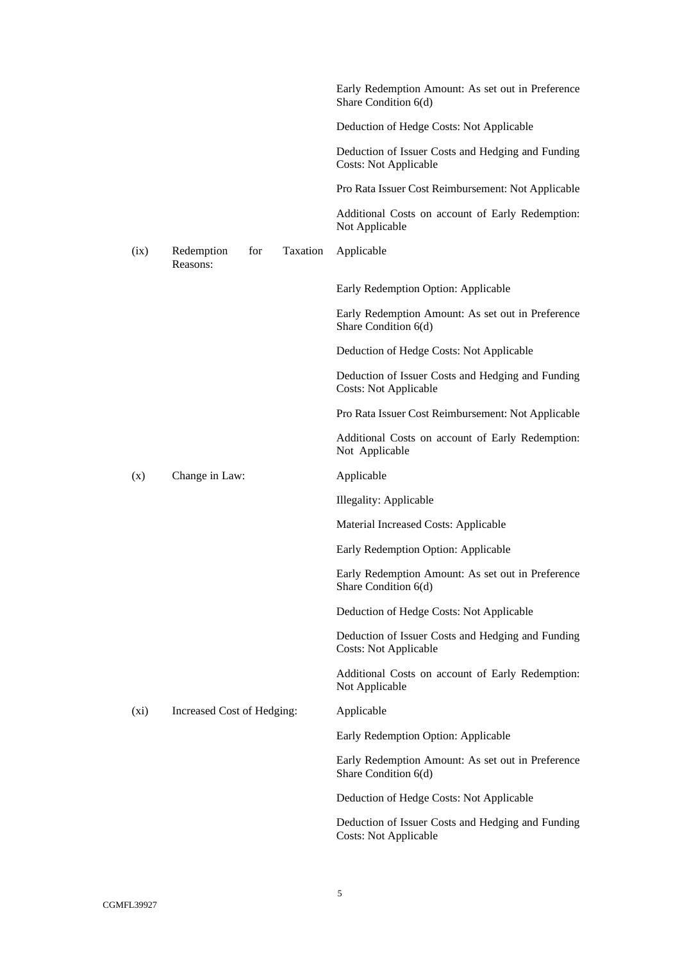|         |                                           | Early Redemption Amount: As set out in Preference<br>Share Condition 6(d)         |
|---------|-------------------------------------------|-----------------------------------------------------------------------------------|
|         |                                           | Deduction of Hedge Costs: Not Applicable                                          |
|         |                                           | Deduction of Issuer Costs and Hedging and Funding<br><b>Costs: Not Applicable</b> |
|         |                                           | Pro Rata Issuer Cost Reimbursement: Not Applicable                                |
|         |                                           | Additional Costs on account of Early Redemption:<br>Not Applicable                |
| (ix)    | Taxation<br>Redemption<br>for<br>Reasons: | Applicable                                                                        |
|         |                                           | Early Redemption Option: Applicable                                               |
|         |                                           | Early Redemption Amount: As set out in Preference<br>Share Condition 6(d)         |
|         |                                           | Deduction of Hedge Costs: Not Applicable                                          |
|         |                                           | Deduction of Issuer Costs and Hedging and Funding<br><b>Costs: Not Applicable</b> |
|         |                                           | Pro Rata Issuer Cost Reimbursement: Not Applicable                                |
|         |                                           | Additional Costs on account of Early Redemption:<br>Not Applicable                |
| (x)     | Change in Law:                            | Applicable                                                                        |
|         |                                           | Illegality: Applicable                                                            |
|         |                                           | Material Increased Costs: Applicable                                              |
|         |                                           | Early Redemption Option: Applicable                                               |
|         |                                           | Early Redemption Amount: As set out in Preference<br>Share Condition 6(d)         |
|         |                                           | Deduction of Hedge Costs: Not Applicable                                          |
|         |                                           | Deduction of Issuer Costs and Hedging and Funding<br><b>Costs: Not Applicable</b> |
|         |                                           | Additional Costs on account of Early Redemption:<br>Not Applicable                |
| $(x_i)$ | Increased Cost of Hedging:                | Applicable                                                                        |
|         |                                           | Early Redemption Option: Applicable                                               |
|         |                                           | Early Redemption Amount: As set out in Preference<br>Share Condition 6(d)         |
|         |                                           | Deduction of Hedge Costs: Not Applicable                                          |
|         |                                           | Deduction of Issuer Costs and Hedging and Funding<br><b>Costs: Not Applicable</b> |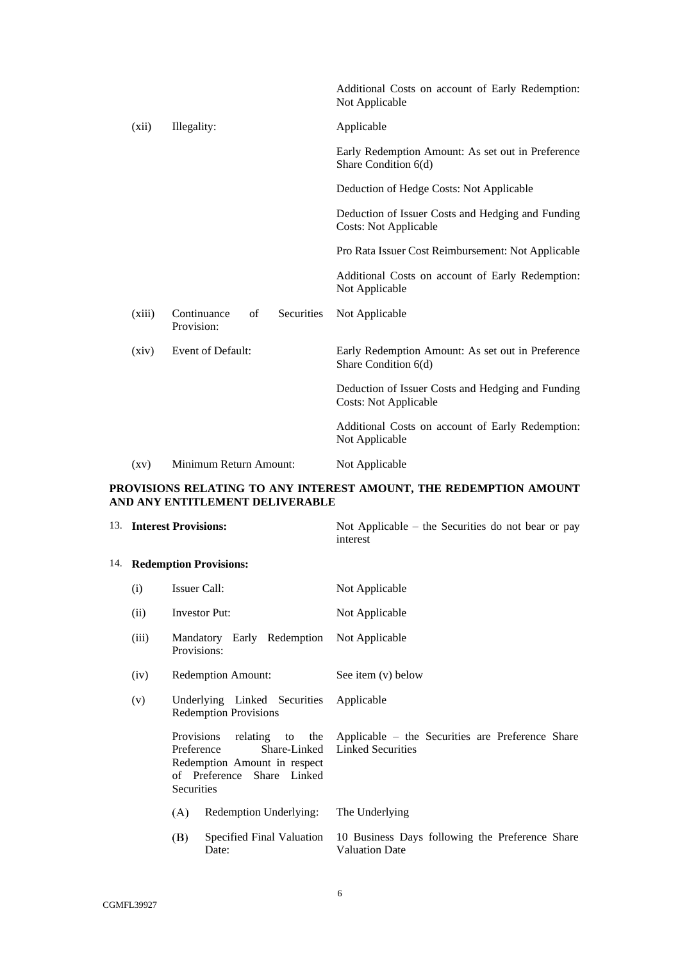|                    |                                               | Additional Costs on account of Early Redemption:<br>Not Applicable                |
|--------------------|-----------------------------------------------|-----------------------------------------------------------------------------------|
| (xii)              | Illegality:                                   | Applicable                                                                        |
|                    |                                               | Early Redemption Amount: As set out in Preference<br>Share Condition 6(d)         |
|                    |                                               | Deduction of Hedge Costs: Not Applicable                                          |
|                    |                                               | Deduction of Issuer Costs and Hedging and Funding<br><b>Costs: Not Applicable</b> |
|                    |                                               | Pro Rata Issuer Cost Reimbursement: Not Applicable                                |
|                    |                                               | Additional Costs on account of Early Redemption:<br>Not Applicable                |
| (xiii)             | Continuance<br>Securities<br>of<br>Provision: | Not Applicable                                                                    |
| (xiv)              | Event of Default:                             | Early Redemption Amount: As set out in Preference<br>Share Condition 6(d)         |
|                    |                                               | Deduction of Issuer Costs and Hedging and Funding<br><b>Costs: Not Applicable</b> |
|                    |                                               | Additional Costs on account of Early Redemption:<br>Not Applicable                |
| $\left( xy\right)$ | Minimum Return Amount:                        | Not Applicable                                                                    |

# **PROVISIONS RELATING TO ANY INTEREST AMOUNT, THE REDEMPTION AMOUNT AND ANY ENTITLEMENT DELIVERABLE**

<span id="page-5-1"></span><span id="page-5-0"></span>

|       | 13. Interest Provisions:                                                                                                                              | Not Applicable – the Securities do not bear or pay<br>interest               |
|-------|-------------------------------------------------------------------------------------------------------------------------------------------------------|------------------------------------------------------------------------------|
|       | 14. Redemption Provisions:                                                                                                                            |                                                                              |
| (i)   | Issuer Call:                                                                                                                                          | Not Applicable                                                               |
| (ii)  | Investor Put:                                                                                                                                         | Not Applicable                                                               |
| (iii) | Mandatory Early Redemption<br>Provisions:                                                                                                             | Not Applicable                                                               |
| (iv)  | <b>Redemption Amount:</b>                                                                                                                             | See item (v) below                                                           |
| (v)   | Underlying Linked Securities<br><b>Redemption Provisions</b>                                                                                          | Applicable                                                                   |
|       | relating to the<br><b>Provisions</b><br>Share-Linked<br>Preference<br>Redemption Amount in respect<br>of Preference Share Linked<br><b>Securities</b> | Applicable – the Securities are Preference Share<br><b>Linked Securities</b> |
|       | (A)<br>Redemption Underlying:                                                                                                                         | The Underlying                                                               |
|       | (B)<br>Specified Final Valuation<br>Date:                                                                                                             | 10 Business Days following the Preference Share<br><b>Valuation Date</b>     |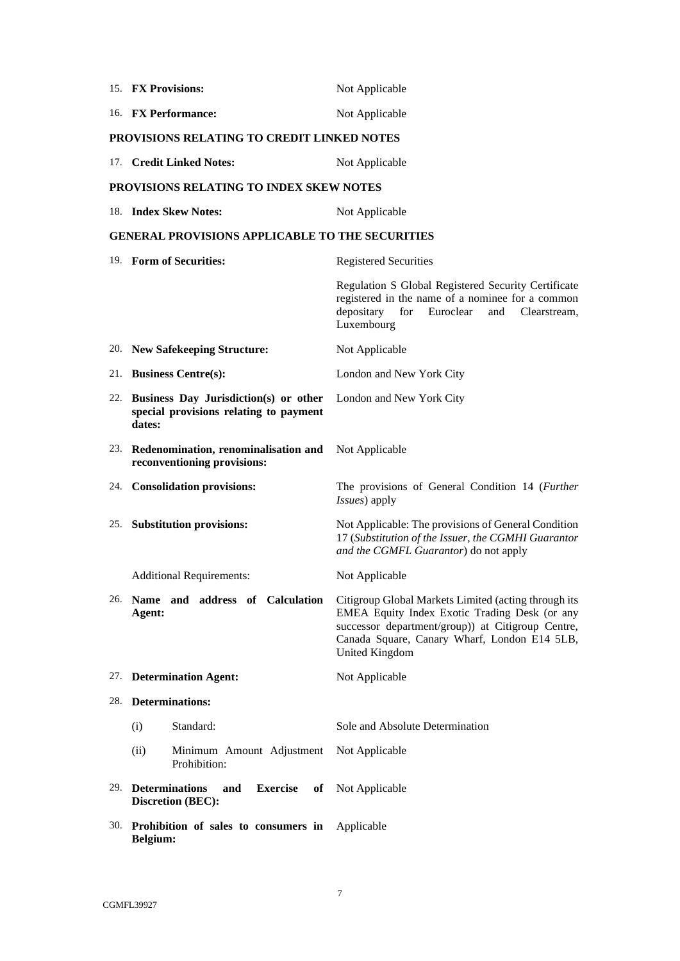| 15. FX Provisions:                                                                            | Not Applicable                                                                                                                                                                                                               |
|-----------------------------------------------------------------------------------------------|------------------------------------------------------------------------------------------------------------------------------------------------------------------------------------------------------------------------------|
| 16. FX Performance:                                                                           | Not Applicable                                                                                                                                                                                                               |
| PROVISIONS RELATING TO CREDIT LINKED NOTES                                                    |                                                                                                                                                                                                                              |
| 17. Credit Linked Notes:                                                                      | Not Applicable                                                                                                                                                                                                               |
| <b>PROVISIONS RELATING TO INDEX SKEW NOTES</b>                                                |                                                                                                                                                                                                                              |
| 18. Index Skew Notes:                                                                         | Not Applicable                                                                                                                                                                                                               |
| <b>GENERAL PROVISIONS APPLICABLE TO THE SECURITIES</b>                                        |                                                                                                                                                                                                                              |
| 19. Form of Securities:                                                                       | <b>Registered Securities</b>                                                                                                                                                                                                 |
|                                                                                               | Regulation S Global Registered Security Certificate<br>registered in the name of a nominee for a common<br>depositary<br>for<br>Euroclear<br>and<br>Clearstream.<br>Luxembourg                                               |
| 20. New Safekeeping Structure:                                                                | Not Applicable                                                                                                                                                                                                               |
| 21. Business Centre(s):                                                                       | London and New York City                                                                                                                                                                                                     |
| 22. Business Day Jurisdiction(s) or other<br>special provisions relating to payment<br>dates: | London and New York City                                                                                                                                                                                                     |
| 23. Redenomination, renominalisation and<br>reconventioning provisions:                       | Not Applicable                                                                                                                                                                                                               |
| 24. Consolidation provisions:                                                                 | The provisions of General Condition 14 (Further<br>Issues) apply                                                                                                                                                             |
| 25. Substitution provisions:                                                                  | Not Applicable: The provisions of General Condition<br>17 (Substitution of the Issuer, the CGMHI Guarantor<br>and the CGMFL Guarantor) do not apply                                                                          |
| <b>Additional Requirements:</b>                                                               | Not Applicable                                                                                                                                                                                                               |
| 26. Name and address of Calculation<br>Agent:                                                 | Citigroup Global Markets Limited (acting through its<br>EMEA Equity Index Exotic Trading Desk (or any<br>successor department/group)) at Citigroup Centre,<br>Canada Square, Canary Wharf, London E14 5LB,<br>United Kingdom |
| 27. Determination Agent:                                                                      | Not Applicable                                                                                                                                                                                                               |
| 28. Determinations:                                                                           |                                                                                                                                                                                                                              |
| Standard:<br>(i)                                                                              | Sole and Absolute Determination                                                                                                                                                                                              |
| (ii)<br>Minimum Amount Adjustment<br>Prohibition:                                             | Not Applicable                                                                                                                                                                                                               |
| 29. Determinations<br>and<br><b>Discretion (BEC):</b>                                         | <b>Exercise</b> of Not Applicable                                                                                                                                                                                            |
| 30. Prohibition of sales to consumers in<br>Belgium:                                          | Applicable                                                                                                                                                                                                                   |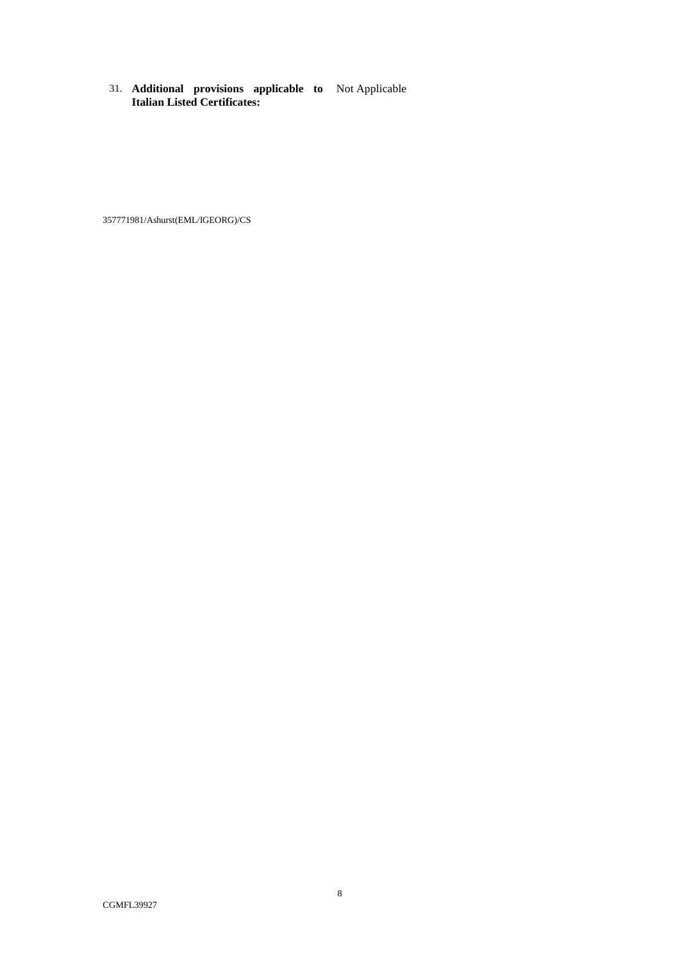31. **Additional provisions applicable to Italian Listed Certificates:** Not Applicable

357771981/Ashurst(EML/IGEORG)/CS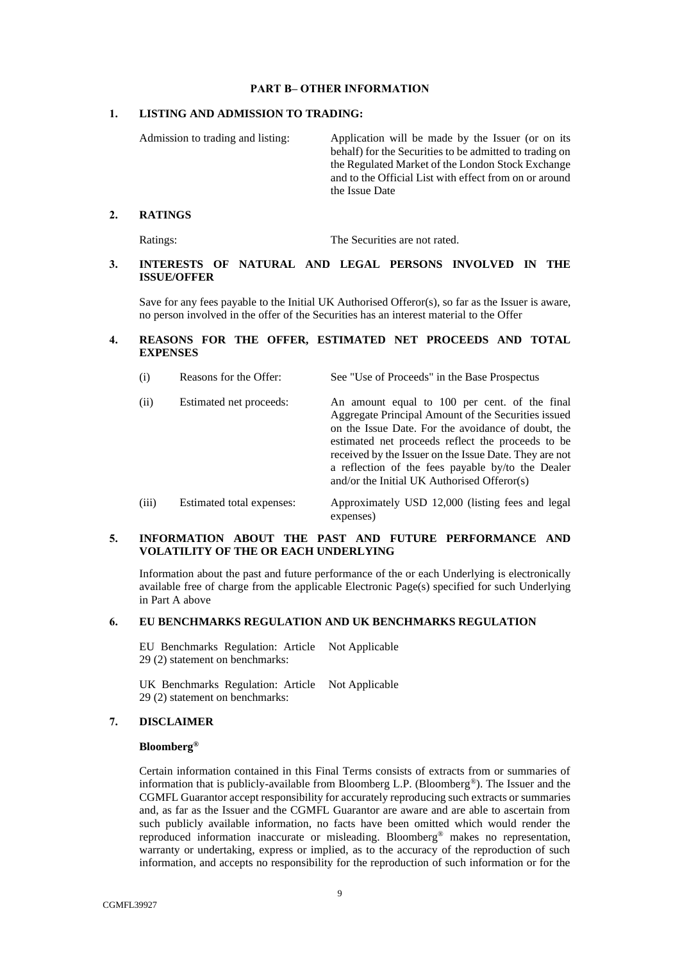#### **PART B– OTHER INFORMATION**

#### <span id="page-8-0"></span>**1. LISTING AND ADMISSION TO TRADING:**

Admission to trading and listing: Application will be made by the Issuer (or on its behalf) for the Securities to be admitted to trading on the Regulated Market of the London Stock Exchange and to the Official List with effect from on or around the Issue Date

#### **2. RATINGS**

Ratings: The Securities are not rated.

# **3. INTERESTS OF NATURAL AND LEGAL PERSONS INVOLVED IN THE ISSUE/OFFER**

Save for any fees payable to the Initial UK Authorised Offeror(s), so far as the Issuer is aware, no person involved in the offer of the Securities has an interest material to the Offer

# **4. REASONS FOR THE OFFER, ESTIMATED NET PROCEEDS AND TOTAL EXPENSES**

| (i)<br>Reasons for the Offer:<br>See "Use of Proceeds" in the Base Prospectus |
|-------------------------------------------------------------------------------|
|-------------------------------------------------------------------------------|

| (ii)       | Estimated net proceeds:  | An amount equal to 100 per cent. of the final<br>Aggregate Principal Amount of the Securities issued<br>on the Issue Date. For the avoidance of doubt, the<br>estimated net proceeds reflect the proceeds to be<br>received by the Issuer on the Issue Date. They are not<br>a reflection of the fees payable by/to the Dealer<br>and/or the Initial UK Authorised Offeror(s) |
|------------|--------------------------|-------------------------------------------------------------------------------------------------------------------------------------------------------------------------------------------------------------------------------------------------------------------------------------------------------------------------------------------------------------------------------|
| $\sqrt{2}$ | Estimated total expanses | Approximately USD 12.000 (listing fees and legal)                                                                                                                                                                                                                                                                                                                             |

(iii) Estimated total expenses: Approximately USD 12,000 (listing fees and legal expenses)

## **5. INFORMATION ABOUT THE PAST AND FUTURE PERFORMANCE AND VOLATILITY OF THE OR EACH UNDERLYING**

Information about the past and future performance of the or each Underlying is electronically available free of charge from the applicable Electronic Page(s) specified for such Underlying in [Part A above](#page-1-0)

# **6. EU BENCHMARKS REGULATION AND UK BENCHMARKS REGULATION**

EU Benchmarks Regulation: Article **=** Not Applicable 29 (2) statement on benchmarks:

UK Benchmarks Regulation: Article Not Applicable 29 (2) statement on benchmarks:

#### **7. DISCLAIMER**

## **Bloomberg®**

Certain information contained in this Final Terms consists of extracts from or summaries of information that is publicly-available from Bloomberg L.P. (Bloomberg®). The Issuer and the CGMFL Guarantor accept responsibility for accurately reproducing such extracts or summaries and, as far as the Issuer and the CGMFL Guarantor are aware and are able to ascertain from such publicly available information, no facts have been omitted which would render the reproduced information inaccurate or misleading. Bloomberg® makes no representation, warranty or undertaking, express or implied, as to the accuracy of the reproduction of such information, and accepts no responsibility for the reproduction of such information or for the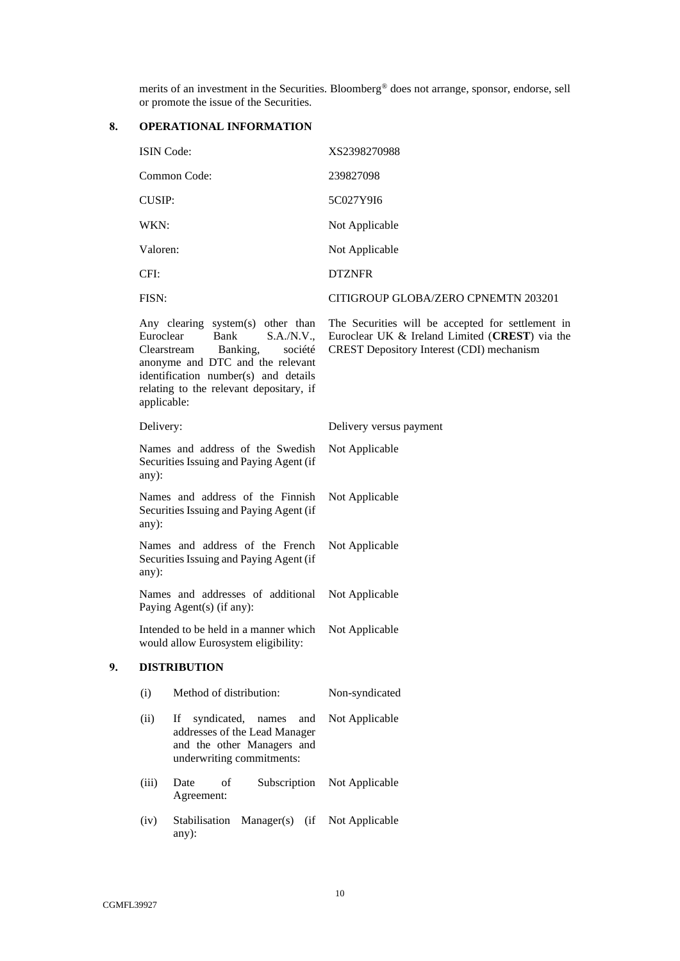merits of an investment in the Securities. Bloomberg® does not arrange, sponsor, endorse, sell or promote the issue of the Securities.

# **8. OPERATIONAL INFORMATION**

|    | <b>ISIN</b> Code:                                                                    |                                                                                                                                                                                                                      | XS2398270988                                                                                                                                     |
|----|--------------------------------------------------------------------------------------|----------------------------------------------------------------------------------------------------------------------------------------------------------------------------------------------------------------------|--------------------------------------------------------------------------------------------------------------------------------------------------|
|    | Common Code:                                                                         |                                                                                                                                                                                                                      | 239827098                                                                                                                                        |
|    | <b>CUSIP:</b>                                                                        |                                                                                                                                                                                                                      | 5C027Y9I6                                                                                                                                        |
|    | WKN:                                                                                 |                                                                                                                                                                                                                      | Not Applicable                                                                                                                                   |
|    | Valoren:                                                                             |                                                                                                                                                                                                                      | Not Applicable                                                                                                                                   |
|    | CFI:                                                                                 |                                                                                                                                                                                                                      | <b>DTZNFR</b>                                                                                                                                    |
|    | FISN:                                                                                |                                                                                                                                                                                                                      | CITIGROUP GLOBA/ZERO CPNEMTN 203201                                                                                                              |
|    | Euroclear<br>applicable:                                                             | Any clearing system(s) other than<br>Bank<br>S.A./N.V.,<br>Clearstream<br>Banking,<br>société<br>anonyme and DTC and the relevant<br>identification number(s) and details<br>relating to the relevant depositary, if | The Securities will be accepted for settlement in<br>Euroclear UK & Ireland Limited (CREST) via the<br>CREST Depository Interest (CDI) mechanism |
|    | Delivery:                                                                            |                                                                                                                                                                                                                      | Delivery versus payment                                                                                                                          |
|    | Names and address of the Swedish<br>Securities Issuing and Paying Agent (if<br>any): |                                                                                                                                                                                                                      | Not Applicable                                                                                                                                   |
|    | Names and address of the Finnish<br>Securities Issuing and Paying Agent (if<br>any): |                                                                                                                                                                                                                      | Not Applicable                                                                                                                                   |
|    | Names and address of the French<br>Securities Issuing and Paying Agent (if<br>any):  |                                                                                                                                                                                                                      | Not Applicable                                                                                                                                   |
|    |                                                                                      | Names and addresses of additional<br>Paying Agent(s) (if any):                                                                                                                                                       | Not Applicable                                                                                                                                   |
|    |                                                                                      | Intended to be held in a manner which<br>would allow Eurosystem eligibility:                                                                                                                                         | Not Applicable                                                                                                                                   |
| 9. |                                                                                      | <b>DISTRIBUTION</b>                                                                                                                                                                                                  |                                                                                                                                                  |
|    | (i)                                                                                  | Method of distribution:                                                                                                                                                                                              | Non-syndicated                                                                                                                                   |
|    | (ii)                                                                                 | syndicated,<br>$\,$ names<br>and<br>If<br>addresses of the Lead Manager<br>and the other Managers and<br>underwriting commitments:                                                                                   | Not Applicable                                                                                                                                   |
|    | (iii)                                                                                | of<br>Date<br>Subscription<br>Agreement:                                                                                                                                                                             | Not Applicable                                                                                                                                   |
|    | (iv)                                                                                 | Stabilisation<br>Manager(s) (if<br>any):                                                                                                                                                                             | Not Applicable                                                                                                                                   |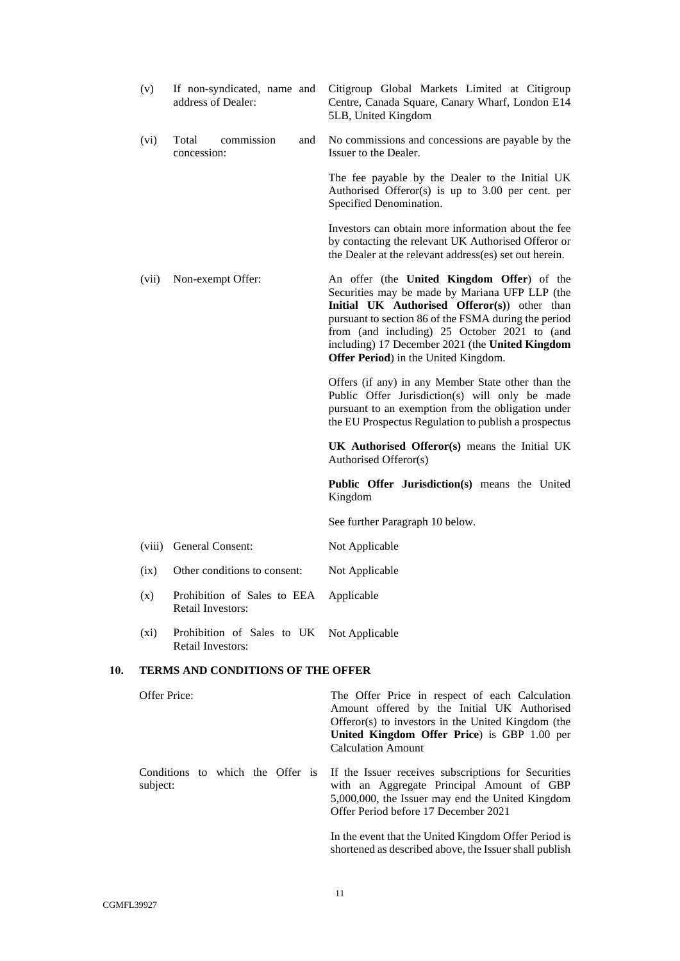|     | (v)          | If non-syndicated, name and<br>address of Dealer:                     | Citigroup Global Markets Limited at Citigroup<br>Centre, Canada Square, Canary Wharf, London E14<br>5LB, United Kingdom                                                                                                                                                                                                                         |
|-----|--------------|-----------------------------------------------------------------------|-------------------------------------------------------------------------------------------------------------------------------------------------------------------------------------------------------------------------------------------------------------------------------------------------------------------------------------------------|
|     | (vi)         | Total<br>commission<br>and<br>concession:                             | No commissions and concessions are payable by the<br>Issuer to the Dealer.                                                                                                                                                                                                                                                                      |
|     |              |                                                                       | The fee payable by the Dealer to the Initial UK<br>Authorised Offeror(s) is up to $3.00$ per cent. per<br>Specified Denomination.                                                                                                                                                                                                               |
|     |              |                                                                       | Investors can obtain more information about the fee<br>by contacting the relevant UK Authorised Offeror or<br>the Dealer at the relevant address(es) set out herein.                                                                                                                                                                            |
|     | (vii)        | Non-exempt Offer:                                                     | An offer (the United Kingdom Offer) of the<br>Securities may be made by Mariana UFP LLP (the<br>Initial UK Authorised Offeror(s)) other than<br>pursuant to section 86 of the FSMA during the period<br>from (and including) 25 October 2021 to (and<br>including) 17 December 2021 (the United Kingdom<br>Offer Period) in the United Kingdom. |
|     |              |                                                                       | Offers (if any) in any Member State other than the<br>Public Offer Jurisdiction(s) will only be made<br>pursuant to an exemption from the obligation under<br>the EU Prospectus Regulation to publish a prospectus                                                                                                                              |
|     |              |                                                                       | UK Authorised Offeror(s) means the Initial UK<br>Authorised Offeror(s)                                                                                                                                                                                                                                                                          |
|     |              |                                                                       | Public Offer Jurisdiction(s) means the United<br>Kingdom                                                                                                                                                                                                                                                                                        |
|     |              |                                                                       | See further Paragraph 10 below.                                                                                                                                                                                                                                                                                                                 |
|     | (viii)       | General Consent:                                                      | Not Applicable                                                                                                                                                                                                                                                                                                                                  |
|     | (ix)         | Other conditions to consent:                                          | Not Applicable                                                                                                                                                                                                                                                                                                                                  |
|     | (x)          | Prohibition of Sales to EEA Applicable<br>Retail Investors:           |                                                                                                                                                                                                                                                                                                                                                 |
|     | (xi)         | Prohibition of Sales to UK Not Applicable<br><b>Retail Investors:</b> |                                                                                                                                                                                                                                                                                                                                                 |
| 10. |              | <b>TERMS AND CONDITIONS OF THE OFFER</b>                              |                                                                                                                                                                                                                                                                                                                                                 |
|     | Offer Price: |                                                                       | The Offer Price in respect of each Calculation<br>Amount offered by the Initial UK Authorised<br>Offeror(s) to investors in the United Kingdom (the<br>United Kingdom Offer Price) is GBP 1.00 per<br><b>Calculation Amount</b>                                                                                                                 |
|     | subject:     | Conditions to which the Offer is                                      | If the Issuer receives subscriptions for Securities<br>with an Aggregate Principal Amount of GBP<br>5,000,000, the Issuer may end the United Kingdom<br>Offer Period before 17 December 2021                                                                                                                                                    |
|     |              |                                                                       | In the event that the United Kingdom Offer Period is                                                                                                                                                                                                                                                                                            |

<span id="page-10-0"></span>shortened as described above, the Issuer shall publish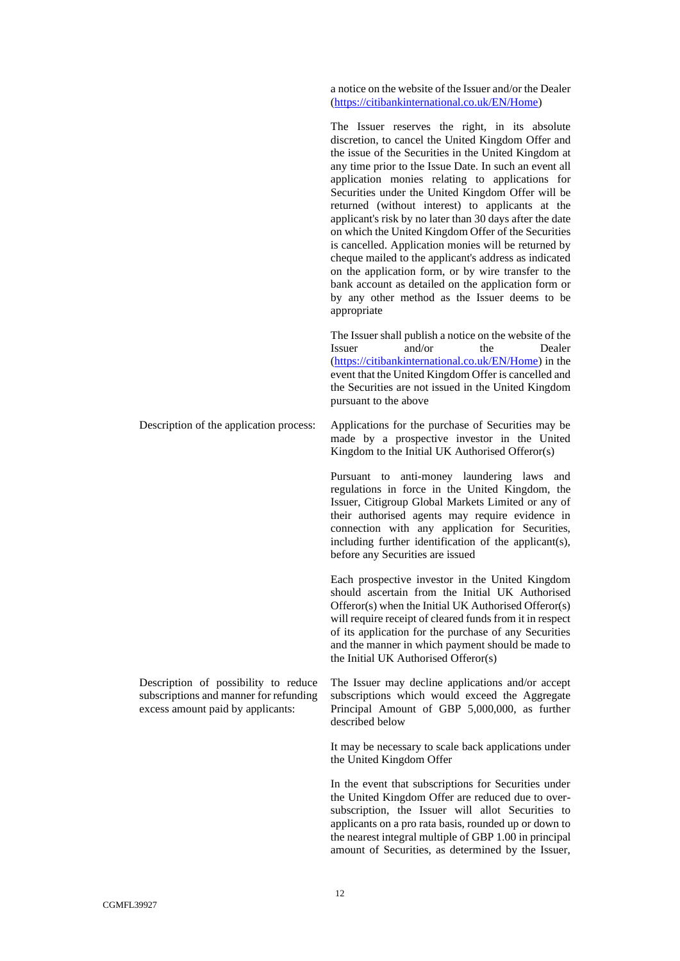a notice on the website of the Issuer and/or the Dealer [\(https://citibankinternational.co.uk/EN/Home\)](https://citibankinternational.co.uk/EN/Home)

The Issuer reserves the right, in its absolute discretion, to cancel the United Kingdom Offer and the issue of the Securities in the United Kingdom at any time prior to the Issue Date. In such an event all application monies relating to applications for Securities under the United Kingdom Offer will be returned (without interest) to applicants at the applicant's risk by no later than 30 days after the date on which the United Kingdom Offer of the Securities is cancelled. Application monies will be returned by cheque mailed to the applicant's address as indicated on the application form, or by wire transfer to the bank account as detailed on the application form or by any other method as the Issuer deems to be appropriate

The Issuer shall publish a notice on the website of the Issuer and/or the Dealer [\(https://citibankinternational.co.uk/EN/Home\)](https://citibankinternational.co.uk/EN/Home) in the event that the United Kingdom Offer is cancelled and the Securities are not issued in the United Kingdom pursuant to the above

Description of the application process: Applications for the purchase of Securities may be made by a prospective investor in the United Kingdom to the Initial UK Authorised Offeror(s)

> Pursuant to anti-money laundering laws and regulations in force in the United Kingdom, the Issuer, Citigroup Global Markets Limited or any of their authorised agents may require evidence in connection with any application for Securities, including further identification of the applicant(s), before any Securities are issued

> Each prospective investor in the United Kingdom should ascertain from the Initial UK Authorised Offeror(s) when the Initial UK Authorised Offeror(s) will require receipt of cleared funds from it in respect of its application for the purchase of any Securities and the manner in which payment should be made to the Initial UK Authorised Offeror(s)

> The Issuer may decline applications and/or accept subscriptions which would exceed the Aggregate Principal Amount of GBP 5,000,000, as further described below

> It may be necessary to scale back applications under the United Kingdom Offer

> In the event that subscriptions for Securities under the United Kingdom Offer are reduced due to oversubscription, the Issuer will allot Securities to applicants on a pro rata basis, rounded up or down to the nearest integral multiple of GBP 1.00 in principal amount of Securities, as determined by the Issuer,

Description of possibility to reduce subscriptions and manner for refunding excess amount paid by applicants: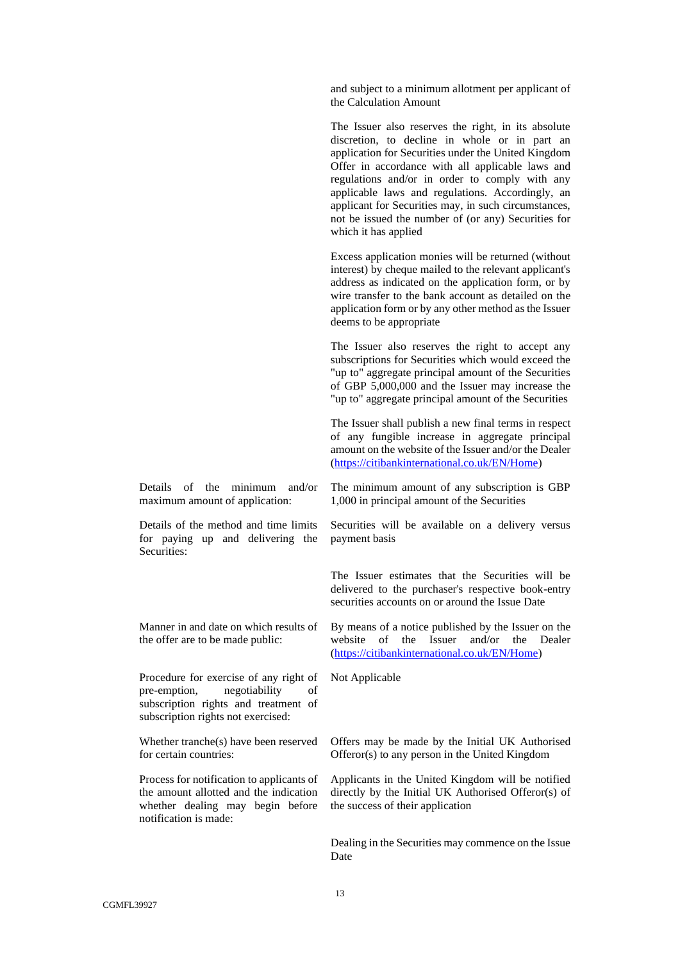and subject to a minimum allotment per applicant of the Calculation Amount

The Issuer also reserves the right, in its absolute discretion, to decline in whole or in part an application for Securities under the United Kingdom Offer in accordance with all applicable laws and regulations and/or in order to comply with any applicable laws and regulations. Accordingly, an applicant for Securities may, in such circumstances, not be issued the number of (or any) Securities for which it has applied

Excess application monies will be returned (without interest) by cheque mailed to the relevant applicant's address as indicated on the application form, or by wire transfer to the bank account as detailed on the application form or by any other method as the Issuer deems to be appropriate

The Issuer also reserves the right to accept any subscriptions for Securities which would exceed the "up to" aggregate principal amount of the Securities of GBP 5,000,000 and the Issuer may increase the "up to" aggregate principal amount of the Securities

The Issuer shall publish a new final terms in respect of any fungible increase in aggregate principal amount on the website of the Issuer and/or the Dealer [\(https://citibankinternational.co.uk/EN/Home\)](https://citibankinternational.co.uk/EN/Home)

Details of the minimum and/or maximum amount of application:

Details of the method and time limits for paying up and delivering the Securities:

Manner in and date on which results of the offer are to be made public:

Procedure for exercise of any right of pre-emption, negotiability of subscription rights and treatment of subscription rights not exercised:

Whether tranche(s) have been reserved for certain countries:

Process for notification to applicants of the amount allotted and the indication whether dealing may begin before notification is made:

The minimum amount of any subscription is GBP 1,000 in principal amount of the Securities

Securities will be available on a delivery versus payment basis

The Issuer estimates that the Securities will be delivered to the purchaser's respective book-entry securities accounts on or around the Issue Date

By means of a notice published by the Issuer on the website of the Issuer and/or the Dealer [\(https://citibankinternational.co.uk/EN/Home\)](https://citibankinternational.co.uk/EN/Home)

Not Applicable

Offers may be made by the Initial UK Authorised Offeror(s) to any person in the United Kingdom

Applicants in the United Kingdom will be notified directly by the Initial UK Authorised Offeror(s) of the success of their application

Dealing in the Securities may commence on the Issue Date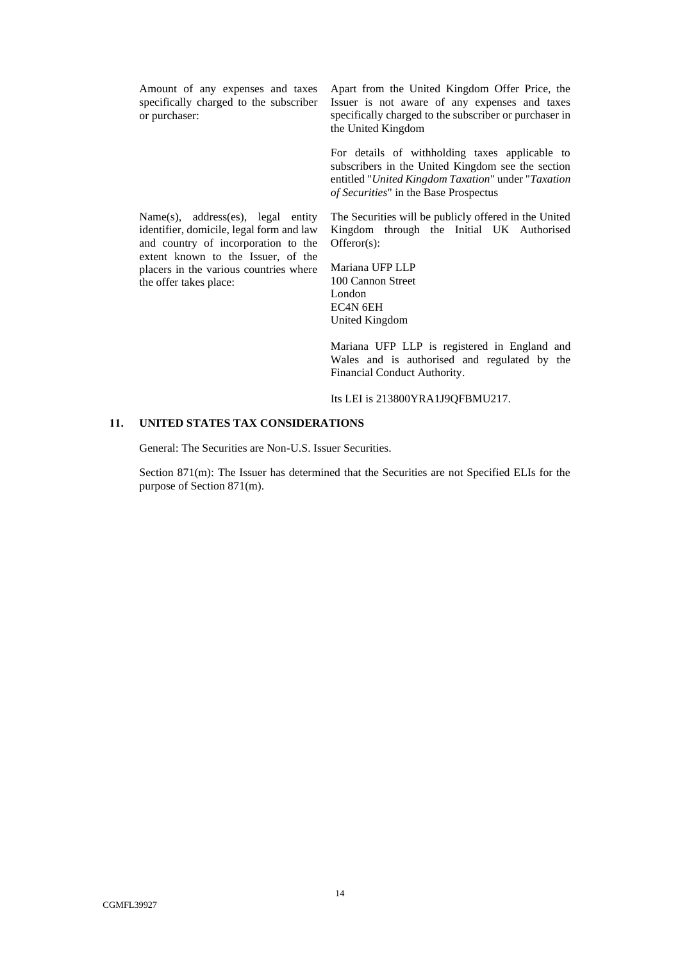Amount of any expenses and taxes specifically charged to the subscriber or purchaser:

Name(s), address(es), legal entity identifier, domicile, legal form and law and country of incorporation to the extent known to the Issuer, of the placers in the various countries where

the offer takes place:

Apart from the United Kingdom Offer Price, the Issuer is not aware of any expenses and taxes specifically charged to the subscriber or purchaser in the United Kingdom

For details of withholding taxes applicable to subscribers in the United Kingdom see the section entitled "*United Kingdom Taxation*" under "*Taxation of Securities*" in the Base Prospectus

The Securities will be publicly offered in the United Kingdom through the Initial UK Authorised Offeror(s):

Mariana UFP LLP 100 Cannon Street London EC4N 6EH United Kingdom

Mariana UFP LLP is registered in England and Wales and is authorised and regulated by the Financial Conduct Authority.

Its LEI is 213800YRA1J9QFBMU217.

#### **11. UNITED STATES TAX CONSIDERATIONS**

General: The Securities are Non-U.S. Issuer Securities.

Section 871(m): The Issuer has determined that the Securities are not Specified ELIs for the purpose of Section 871(m).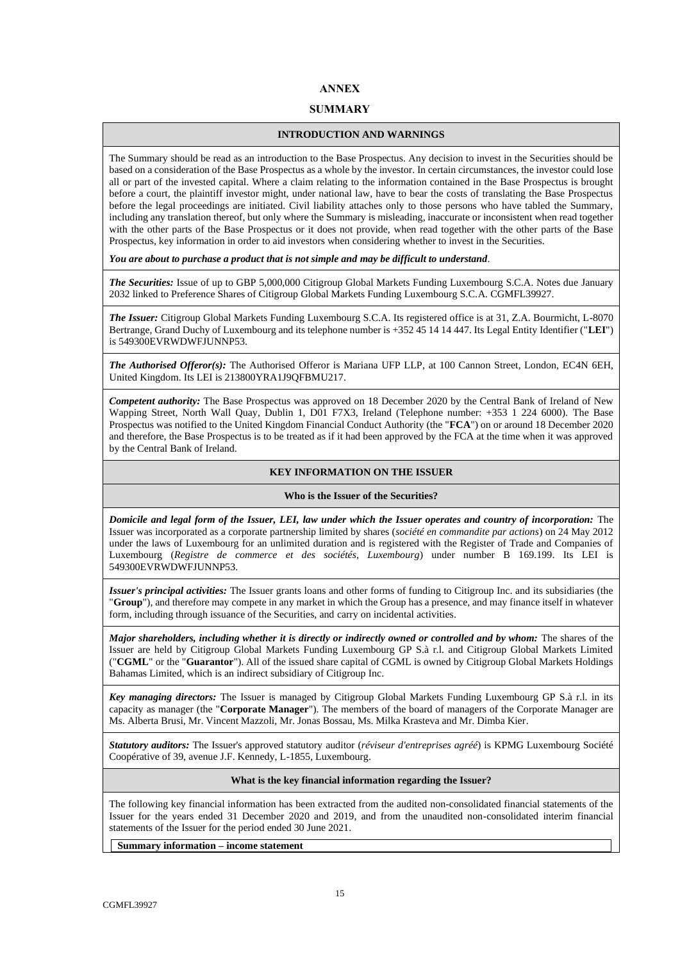# **ANNEX**

### **SUMMARY**

#### **INTRODUCTION AND WARNINGS**

The Summary should be read as an introduction to the Base Prospectus. Any decision to invest in the Securities should be based on a consideration of the Base Prospectus as a whole by the investor. In certain circumstances, the investor could lose all or part of the invested capital. Where a claim relating to the information contained in the Base Prospectus is brought before a court, the plaintiff investor might, under national law, have to bear the costs of translating the Base Prospectus before the legal proceedings are initiated. Civil liability attaches only to those persons who have tabled the Summary, including any translation thereof, but only where the Summary is misleading, inaccurate or inconsistent when read together with the other parts of the Base Prospectus or it does not provide, when read together with the other parts of the Base Prospectus, key information in order to aid investors when considering whether to invest in the Securities.

*You are about to purchase a product that is not simple and may be difficult to understand*.

*The Securities:* Issue of up to GBP 5,000,000 Citigroup Global Markets Funding Luxembourg S.C.A. Notes due January 2032 linked to Preference Shares of Citigroup Global Markets Funding Luxembourg S.C.A. CGMFL39927.

*The Issuer:* Citigroup Global Markets Funding Luxembourg S.C.A. Its registered office is at 31, Z.A. Bourmicht, L-8070 Bertrange, Grand Duchy of Luxembourg and its telephone number is +352 45 14 14 447. Its Legal Entity Identifier ("**LEI**") is 549300EVRWDWFJUNNP53.

*The Authorised Offeror(s):* The Authorised Offeror is Mariana UFP LLP, at 100 Cannon Street, London, EC4N 6EH, United Kingdom. Its LEI is 213800YRA1J9QFBMU217.

*Competent authority:* The Base Prospectus was approved on 18 December 2020 by the Central Bank of Ireland of New Wapping Street, North Wall Quay, Dublin 1, D01 F7X3, Ireland (Telephone number: +353 1 224 6000). The Base Prospectus was notified to the United Kingdom Financial Conduct Authority (the "**FCA**") on or around 18 December 2020 and therefore, the Base Prospectus is to be treated as if it had been approved by the FCA at the time when it was approved by the Central Bank of Ireland.

### **KEY INFORMATION ON THE ISSUER**

#### **Who is the Issuer of the Securities?**

*Domicile and legal form of the Issuer, LEI, law under which the Issuer operates and country of incorporation:* The Issuer was incorporated as a corporate partnership limited by shares (*société en commandite par actions*) on 24 May 2012 under the laws of Luxembourg for an unlimited duration and is registered with the Register of Trade and Companies of Luxembourg (*Registre de commerce et des sociétés, Luxembourg*) under number B 169.199. Its LEI is 549300EVRWDWFJUNNP53.

*Issuer's principal activities:* The Issuer grants loans and other forms of funding to Citigroup Inc. and its subsidiaries (the "**Group**"), and therefore may compete in any market in which the Group has a presence, and may finance itself in whatever form, including through issuance of the Securities, and carry on incidental activities.

*Major shareholders, including whether it is directly or indirectly owned or controlled and by whom:* The shares of the Issuer are held by Citigroup Global Markets Funding Luxembourg GP S.à r.l. and Citigroup Global Markets Limited ("**CGML**" or the "**Guarantor**"). All of the issued share capital of CGML is owned by Citigroup Global Markets Holdings Bahamas Limited, which is an indirect subsidiary of Citigroup Inc.

*Key managing directors:* The Issuer is managed by Citigroup Global Markets Funding Luxembourg GP S.à r.l. in its capacity as manager (the "**Corporate Manager**"). The members of the board of managers of the Corporate Manager are Ms. Alberta Brusi, Mr. Vincent Mazzoli, Mr. Jonas Bossau, Ms. Milka Krasteva and Mr. Dimba Kier.

*Statutory auditors:* The Issuer's approved statutory auditor (*réviseur d'entreprises agréé*) is KPMG Luxembourg Société Coopérative of 39, avenue J.F. Kennedy, L-1855, Luxembourg.

#### **What is the key financial information regarding the Issuer?**

The following key financial information has been extracted from the audited non-consolidated financial statements of the Issuer for the years ended 31 December 2020 and 2019, and from the unaudited non-consolidated interim financial statements of the Issuer for the period ended 30 June 2021.

**Summary information – income statement**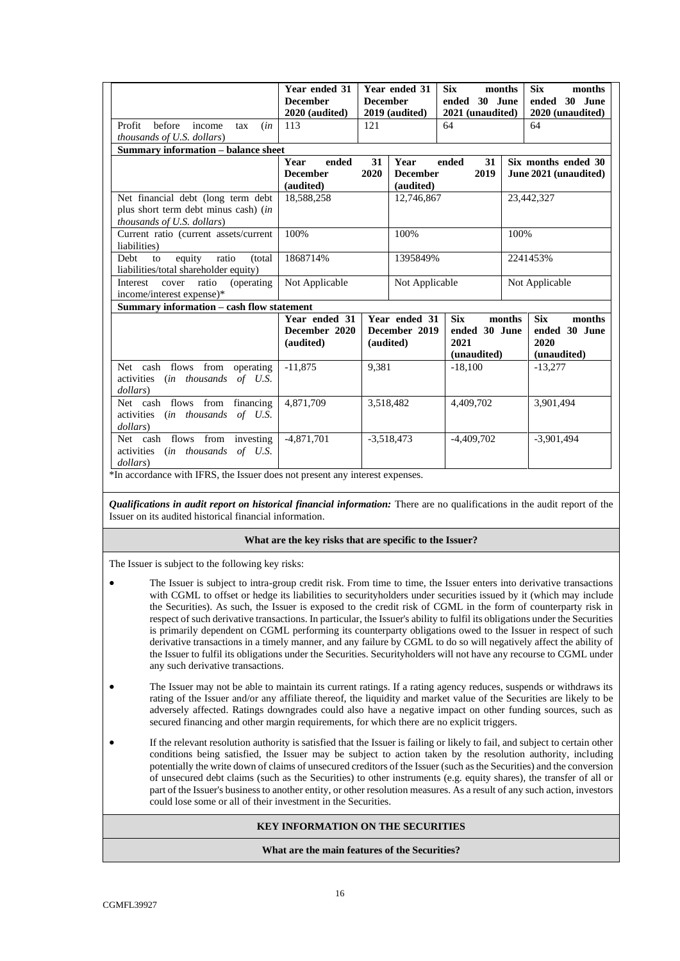| Profit<br>before<br>income<br>(in<br>tax<br><i>thousands of U.S. dollars</i> )                                                                                          | Year ended 31<br><b>December</b><br>2020 (audited)<br>113   | <b>December</b><br>121 | Year ended 31<br>2019 (audited)                    | <b>Six</b><br>ended 30 June<br>2021 (unaudited)<br>64 | months | <b>Six</b><br>months<br>ended 30 June<br>2020 (unaudited)<br>64 |
|-------------------------------------------------------------------------------------------------------------------------------------------------------------------------|-------------------------------------------------------------|------------------------|----------------------------------------------------|-------------------------------------------------------|--------|-----------------------------------------------------------------|
| <b>Summary information - balance sheet</b>                                                                                                                              |                                                             |                        |                                                    |                                                       |        |                                                                 |
| Net financial debt (long term debt)<br>plus short term debt minus cash) (in<br><i>thousands of U.S. dollars</i> )                                                       | Year<br>ended<br><b>December</b><br>(audited)<br>18,588,258 | 31<br>2020             | Year<br><b>December</b><br>(audited)<br>12,746,867 | 31<br>ended<br>2019                                   |        | Six months ended 30<br>June 2021 (unaudited)<br>23,442,327      |
| Current ratio (current assets/current<br>liabilities)                                                                                                                   | 100%                                                        |                        | 100%                                               |                                                       | 100%   |                                                                 |
| equity<br>ratio<br>(total)<br>Debt<br>to<br>liabilities/total shareholder equity)                                                                                       | 1868714%                                                    |                        | 1395849%                                           |                                                       |        | 2241453%                                                        |
| Interest<br>ratio<br><i>(operating)</i><br>cover<br>income/interest expense)*                                                                                           | Not Applicable                                              |                        | Not Applicable                                     |                                                       |        | Not Applicable                                                  |
| Summary information - cash flow statement                                                                                                                               |                                                             |                        |                                                    |                                                       |        |                                                                 |
|                                                                                                                                                                         | Year ended 31<br>December 2020<br>(audited)                 | (audited)              | Year ended 31<br>December 2019                     | <b>Six</b><br>ended 30 June<br>2021<br>(unaudited)    | months | <b>Six</b><br>months<br>ended 30 June<br>2020<br>(unaudited)    |
| Net cash flows from operating<br>activities (in thousands of U.S.<br>dollars)                                                                                           | $-11.875$                                                   | 9.381                  |                                                    | $-18.100$                                             |        | $-13.277$                                                       |
| Net cash flows from financing<br>activities (in thousands of U.S.<br>dollars)                                                                                           | 4,871,709                                                   | 3,518,482              |                                                    | 4,409,702                                             |        | 3,901,494                                                       |
| Net cash flows from investing<br>activities (in thousands of U.S.<br>dollars)<br>$*$ In accordance with $\text{IEDC}$ the Lauter does not present any interest expenses | $-4,871,701$                                                |                        | $-3,518,473$                                       | $-4,409,702$                                          |        | $-3,901,494$                                                    |

\*In accordance with IFRS, the Issuer does not present any interest expenses.

*Qualifications in audit report on historical financial information:* There are no qualifications in the audit report of the Issuer on its audited historical financial information.

#### **What are the key risks that are specific to the Issuer?**

The Issuer is subject to the following key risks:

- The Issuer is subject to intra-group credit risk. From time to time, the Issuer enters into derivative transactions with CGML to offset or hedge its liabilities to securityholders under securities issued by it (which may include the Securities). As such, the Issuer is exposed to the credit risk of CGML in the form of counterparty risk in respect of such derivative transactions. In particular, the Issuer's ability to fulfil its obligations under the Securities is primarily dependent on CGML performing its counterparty obligations owed to the Issuer in respect of such derivative transactions in a timely manner, and any failure by CGML to do so will negatively affect the ability of the Issuer to fulfil its obligations under the Securities. Securityholders will not have any recourse to CGML under any such derivative transactions.
- The Issuer may not be able to maintain its current ratings. If a rating agency reduces, suspends or withdraws its rating of the Issuer and/or any affiliate thereof, the liquidity and market value of the Securities are likely to be adversely affected. Ratings downgrades could also have a negative impact on other funding sources, such as secured financing and other margin requirements, for which there are no explicit triggers.
- If the relevant resolution authority is satisfied that the Issuer is failing or likely to fail, and subject to certain other conditions being satisfied, the Issuer may be subject to action taken by the resolution authority, including potentially the write down of claims of unsecured creditors of the Issuer (such as the Securities) and the conversion of unsecured debt claims (such as the Securities) to other instruments (e.g. equity shares), the transfer of all or part of the Issuer's business to another entity, or other resolution measures. As a result of any such action, investors could lose some or all of their investment in the Securities.

### **KEY INFORMATION ON THE SECURITIES**

#### **What are the main features of the Securities?**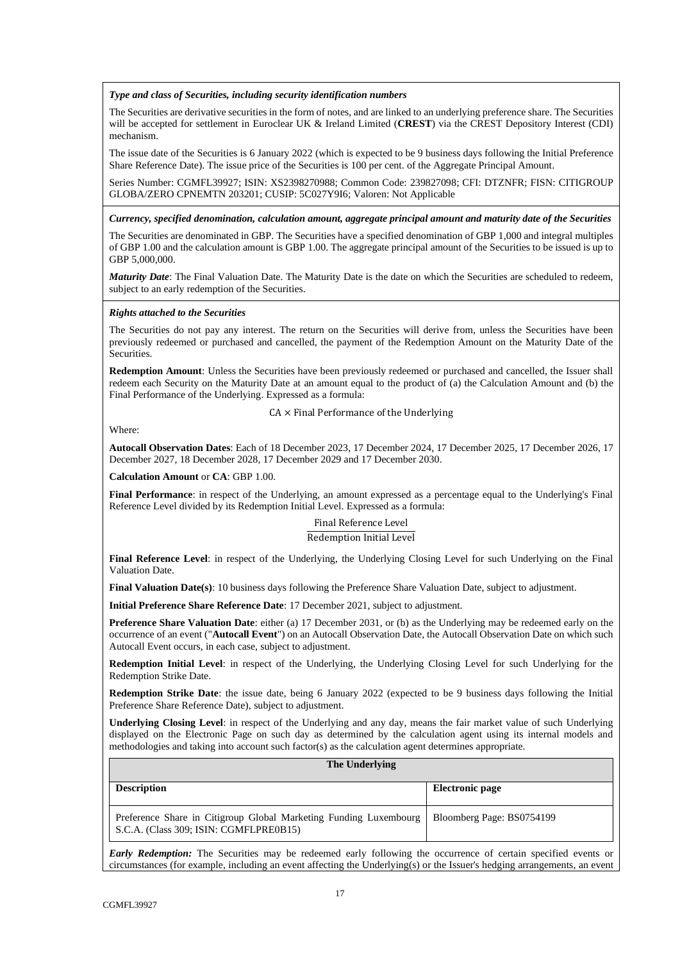*Type and class of Securities, including security identification numbers*

The Securities are derivative securities in the form of notes, and are linked to an underlying preference share. The Securities will be accepted for settlement in Euroclear UK & Ireland Limited (**CREST**) via the CREST Depository Interest (CDI) mechanism.

The issue date of the Securities is 6 January 2022 (which is expected to be 9 business days following the Initial Preference Share Reference Date). The issue price of the Securities is 100 per cent. of the Aggregate Principal Amount.

Series Number: CGMFL39927; ISIN: XS2398270988; Common Code: 239827098; CFI: DTZNFR; FISN: CITIGROUP GLOBA/ZERO CPNEMTN 203201; CUSIP: 5C027Y9I6; Valoren: Not Applicable

*Currency, specified denomination, calculation amount, aggregate principal amount and maturity date of the Securities*

The Securities are denominated in GBP. The Securities have a specified denomination of GBP 1,000 and integral multiples of GBP 1.00 and the calculation amount is GBP 1.00. The aggregate principal amount of the Securities to be issued is up to GBP 5,000,000.

*Maturity Date*: The Final Valuation Date. The Maturity Date is the date on which the Securities are scheduled to redeem, subject to an early redemption of the Securities.

#### *Rights attached to the Securities*

The Securities do not pay any interest. The return on the Securities will derive from, unless the Securities have been previously redeemed or purchased and cancelled, the payment of the Redemption Amount on the Maturity Date of the Securities.

**Redemption Amount**: Unless the Securities have been previously redeemed or purchased and cancelled, the Issuer shall redeem each Security on the Maturity Date at an amount equal to the product of (a) the Calculation Amount and (b) the Final Performance of the Underlying. Expressed as a formula:

 $CA \times$  Final Performance of the Underlying

Where:

**Autocall Observation Dates**: Each of 18 December 2023, 17 December 2024, 17 December 2025, 17 December 2026, 17 December 2027, 18 December 2028, 17 December 2029 and 17 December 2030.

**Calculation Amount** or **CA**: GBP 1.00.

**Final Performance**: in respect of the Underlying, an amount expressed as a percentage equal to the Underlying's Final Reference Level divided by its Redemption Initial Level. Expressed as a formula:

> Final Reference Level Redemption Initial Level

**Final Reference Level**: in respect of the Underlying, the Underlying Closing Level for such Underlying on the Final Valuation Date.

**Final Valuation Date(s)**: 10 business days following the Preference Share Valuation Date, subject to adjustment.

**Initial Preference Share Reference Date**: 17 December 2021, subject to adjustment.

**Preference Share Valuation Date**: either (a) 17 December 2031, or (b) as the Underlying may be redeemed early on the occurrence of an event ("**Autocall Event**") on an Autocall Observation Date, the Autocall Observation Date on which such Autocall Event occurs, in each case, subject to adjustment.

**Redemption Initial Level**: in respect of the Underlying, the Underlying Closing Level for such Underlying for the Redemption Strike Date.

**Redemption Strike Date**: the issue date, being 6 January 2022 (expected to be 9 business days following the Initial Preference Share Reference Date), subject to adjustment.

**Underlying Closing Level**: in respect of the Underlying and any day, means the fair market value of such Underlying displayed on the Electronic Page on such day as determined by the calculation agent using its internal models and methodologies and taking into account such factor(s) as the calculation agent determines appropriate.

#### **The Underlying**

| <b>Description</b>                                                                                          | Electronic page           |
|-------------------------------------------------------------------------------------------------------------|---------------------------|
| Preference Share in Citigroup Global Marketing Funding Luxembourg<br>S.C.A. (Class 309; ISIN: CGMFLPRE0B15) | Bloomberg Page: BS0754199 |

*Early Redemption:* The Securities may be redeemed early following the occurrence of certain specified events or circumstances (for example, including an event affecting the Underlying(s) or the Issuer's hedging arrangements, an event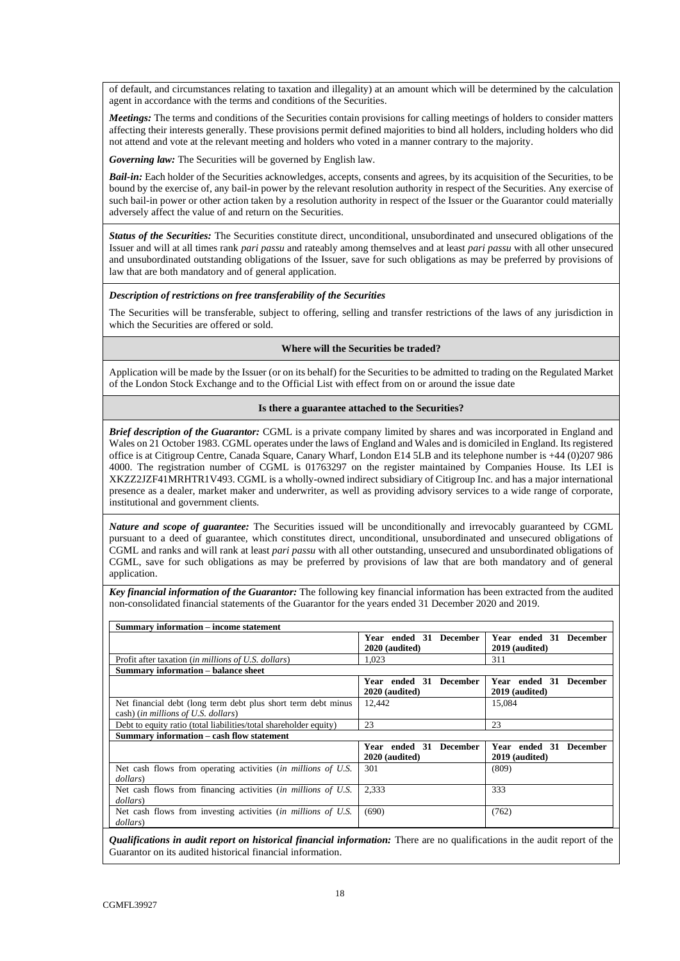of default, and circumstances relating to taxation and illegality) at an amount which will be determined by the calculation agent in accordance with the terms and conditions of the Securities.

*Meetings:* The terms and conditions of the Securities contain provisions for calling meetings of holders to consider matters affecting their interests generally. These provisions permit defined majorities to bind all holders, including holders who did not attend and vote at the relevant meeting and holders who voted in a manner contrary to the majority.

*Governing law:* The Securities will be governed by English law.

*Bail-in:* Each holder of the Securities acknowledges, accepts, consents and agrees, by its acquisition of the Securities, to be bound by the exercise of, any bail-in power by the relevant resolution authority in respect of the Securities. Any exercise of such bail-in power or other action taken by a resolution authority in respect of the Issuer or the Guarantor could materially adversely affect the value of and return on the Securities.

*Status of the Securities:* The Securities constitute direct, unconditional, unsubordinated and unsecured obligations of the Issuer and will at all times rank *pari passu* and rateably among themselves and at least *pari passu* with all other unsecured and unsubordinated outstanding obligations of the Issuer, save for such obligations as may be preferred by provisions of law that are both mandatory and of general application.

#### *Description of restrictions on free transferability of the Securities*

The Securities will be transferable, subject to offering, selling and transfer restrictions of the laws of any jurisdiction in which the Securities are offered or sold.

#### **Where will the Securities be traded?**

Application will be made by the Issuer (or on its behalf) for the Securities to be admitted to trading on the Regulated Market of the London Stock Exchange and to the Official List with effect from on or around the issue date

#### **Is there a guarantee attached to the Securities?**

*Brief description of the Guarantor:* CGML is a private company limited by shares and was incorporated in England and Wales on 21 October 1983. CGML operates under the laws of England and Wales and is domiciled in England. Its registered office is at Citigroup Centre, Canada Square, Canary Wharf, London E14 5LB and its telephone number is +44 (0)207 986 4000. The registration number of CGML is 01763297 on the register maintained by Companies House. Its LEI is XKZZ2JZF41MRHTR1V493. CGML is a wholly-owned indirect subsidiary of Citigroup Inc. and has a major international presence as a dealer, market maker and underwriter, as well as providing advisory services to a wide range of corporate, institutional and government clients.

*Nature and scope of guarantee:* The Securities issued will be unconditionally and irrevocably guaranteed by CGML pursuant to a deed of guarantee, which constitutes direct, unconditional, unsubordinated and unsecured obligations of CGML and ranks and will rank at least *pari passu* with all other outstanding, unsecured and unsubordinated obligations of CGML, save for such obligations as may be preferred by provisions of law that are both mandatory and of general application.

*Key financial information of the Guarantor:* The following key financial information has been extracted from the audited non-consolidated financial statements of the Guarantor for the years ended 31 December 2020 and 2019.

| <b>Summary information – income statement</b>                          |                           |                                  |  |  |  |  |
|------------------------------------------------------------------------|---------------------------|----------------------------------|--|--|--|--|
|                                                                        | Year ended 31 December    | Year ended 31 December           |  |  |  |  |
|                                                                        | 2020 (audited)            | 2019 (audited)                   |  |  |  |  |
| Profit after taxation ( <i>in millions of U.S. dollars</i> )           | 1.023                     | 311                              |  |  |  |  |
| Summary information – balance sheet                                    |                           |                                  |  |  |  |  |
|                                                                        | Year ended 31 December    | Year ended 31 December           |  |  |  |  |
|                                                                        | 2020 (audited)            | 2019 (audited)                   |  |  |  |  |
| Net financial debt (long term debt plus short term debt minus          | 12.442                    | 15,084                           |  |  |  |  |
| cash) (in millions of U.S. dollars)                                    |                           |                                  |  |  |  |  |
| Debt to equity ratio (total liabilities/total shareholder equity)      | 23                        | 23                               |  |  |  |  |
| Summary information – cash flow statement                              |                           |                                  |  |  |  |  |
|                                                                        | Year ended 31<br>December | Year ended 31<br><b>December</b> |  |  |  |  |
|                                                                        | 2020 (audited)            | 2019 (audited)                   |  |  |  |  |
| Net cash flows from operating activities <i>(in millions of U.S.</i> ) | 301                       | (809)                            |  |  |  |  |
| dollars)                                                               |                           |                                  |  |  |  |  |
| Net cash flows from financing activities (in millions of U.S.          | 2.333                     | 333                              |  |  |  |  |
| dollars)                                                               |                           |                                  |  |  |  |  |
| Net cash flows from investing activities <i>(in millions of U.S.</i> ) | (690)                     | (762)                            |  |  |  |  |
| dollars)                                                               |                           |                                  |  |  |  |  |

*Qualifications in audit report on historical financial information:* There are no qualifications in the audit report of the Guarantor on its audited historical financial information.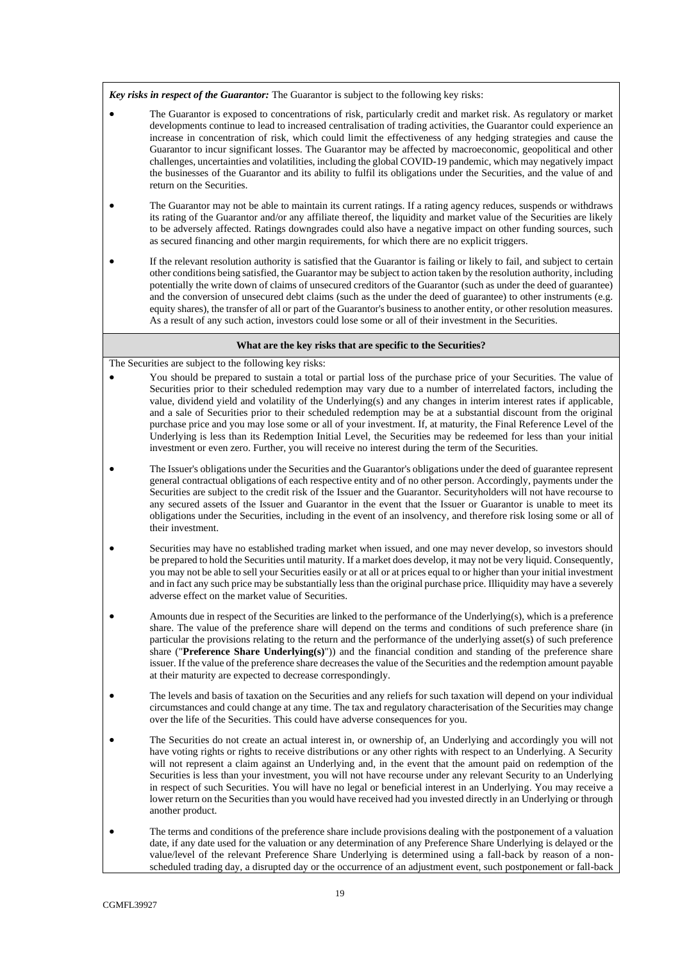*Key risks in respect of the Guarantor:* The Guarantor is subject to the following key risks:

- The Guarantor is exposed to concentrations of risk, particularly credit and market risk. As regulatory or market developments continue to lead to increased centralisation of trading activities, the Guarantor could experience an increase in concentration of risk, which could limit the effectiveness of any hedging strategies and cause the Guarantor to incur significant losses. The Guarantor may be affected by macroeconomic, geopolitical and other challenges, uncertainties and volatilities, including the global COVID-19 pandemic, which may negatively impact the businesses of the Guarantor and its ability to fulfil its obligations under the Securities, and the value of and return on the Securities.
- The Guarantor may not be able to maintain its current ratings. If a rating agency reduces, suspends or withdraws its rating of the Guarantor and/or any affiliate thereof, the liquidity and market value of the Securities are likely to be adversely affected. Ratings downgrades could also have a negative impact on other funding sources, such as secured financing and other margin requirements, for which there are no explicit triggers.
- If the relevant resolution authority is satisfied that the Guarantor is failing or likely to fail, and subject to certain other conditions being satisfied, the Guarantor may be subject to action taken by the resolution authority, including potentially the write down of claims of unsecured creditors of the Guarantor (such as under the deed of guarantee) and the conversion of unsecured debt claims (such as the under the deed of guarantee) to other instruments (e.g. equity shares), the transfer of all or part of the Guarantor's business to another entity, or other resolution measures. As a result of any such action, investors could lose some or all of their investment in the Securities.

#### **What are the key risks that are specific to the Securities?**

The Securities are subject to the following key risks:

- You should be prepared to sustain a total or partial loss of the purchase price of your Securities. The value of Securities prior to their scheduled redemption may vary due to a number of interrelated factors, including the value, dividend yield and volatility of the Underlying(s) and any changes in interim interest rates if applicable, and a sale of Securities prior to their scheduled redemption may be at a substantial discount from the original purchase price and you may lose some or all of your investment. If, at maturity, the Final Reference Level of the Underlying is less than its Redemption Initial Level, the Securities may be redeemed for less than your initial investment or even zero. Further, you will receive no interest during the term of the Securities.
- The Issuer's obligations under the Securities and the Guarantor's obligations under the deed of guarantee represent general contractual obligations of each respective entity and of no other person. Accordingly, payments under the Securities are subject to the credit risk of the Issuer and the Guarantor. Securityholders will not have recourse to any secured assets of the Issuer and Guarantor in the event that the Issuer or Guarantor is unable to meet its obligations under the Securities, including in the event of an insolvency, and therefore risk losing some or all of their investment.
- Securities may have no established trading market when issued, and one may never develop, so investors should be prepared to hold the Securities until maturity. If a market does develop, it may not be very liquid. Consequently, you may not be able to sell your Securities easily or at all or at prices equal to or higher than your initial investment and in fact any such price may be substantially less than the original purchase price. Illiquidity may have a severely adverse effect on the market value of Securities.
- Amounts due in respect of the Securities are linked to the performance of the Underlying(s), which is a preference share. The value of the preference share will depend on the terms and conditions of such preference share (in particular the provisions relating to the return and the performance of the underlying asset(s) of such preference share ("**Preference Share Underlying(s)**")) and the financial condition and standing of the preference share issuer. If the value of the preference share decreases the value of the Securities and the redemption amount payable at their maturity are expected to decrease correspondingly.
- The levels and basis of taxation on the Securities and any reliefs for such taxation will depend on your individual circumstances and could change at any time. The tax and regulatory characterisation of the Securities may change over the life of the Securities. This could have adverse consequences for you.
- The Securities do not create an actual interest in, or ownership of, an Underlying and accordingly you will not have voting rights or rights to receive distributions or any other rights with respect to an Underlying. A Security will not represent a claim against an Underlying and, in the event that the amount paid on redemption of the Securities is less than your investment, you will not have recourse under any relevant Security to an Underlying in respect of such Securities. You will have no legal or beneficial interest in an Underlying. You may receive a lower return on the Securities than you would have received had you invested directly in an Underlying or through another product.
- The terms and conditions of the preference share include provisions dealing with the postponement of a valuation date, if any date used for the valuation or any determination of any Preference Share Underlying is delayed or the value/level of the relevant Preference Share Underlying is determined using a fall-back by reason of a nonscheduled trading day, a disrupted day or the occurrence of an adjustment event, such postponement or fall-back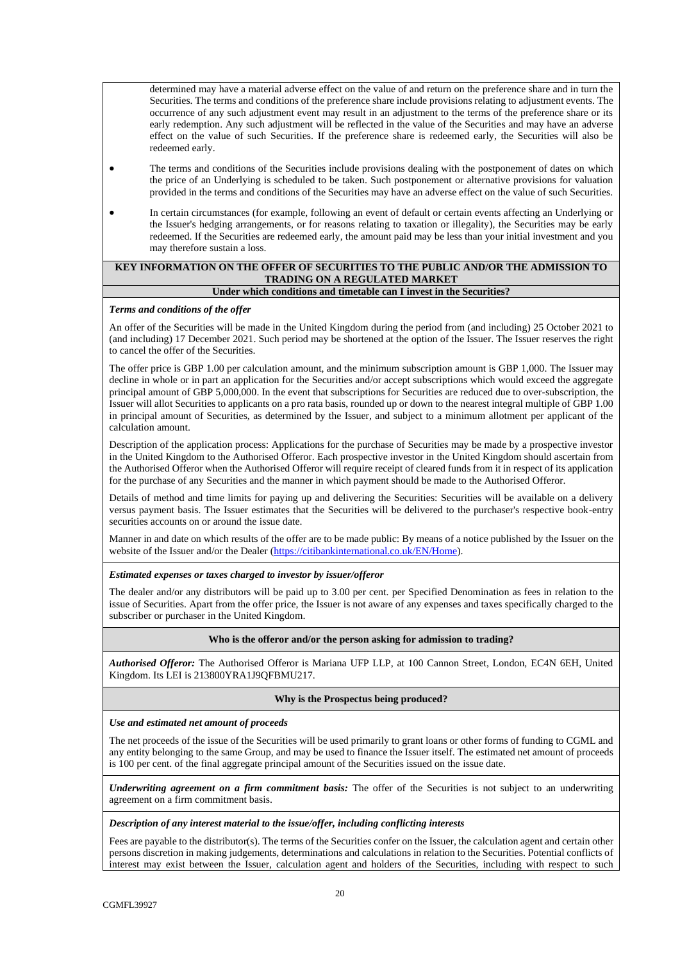determined may have a material adverse effect on the value of and return on the preference share and in turn the Securities. The terms and conditions of the preference share include provisions relating to adjustment events. The occurrence of any such adjustment event may result in an adjustment to the terms of the preference share or its early redemption. Any such adjustment will be reflected in the value of the Securities and may have an adverse effect on the value of such Securities. If the preference share is redeemed early, the Securities will also be redeemed early.

- The terms and conditions of the Securities include provisions dealing with the postponement of dates on which the price of an Underlying is scheduled to be taken. Such postponement or alternative provisions for valuation provided in the terms and conditions of the Securities may have an adverse effect on the value of such Securities.
- In certain circumstances (for example, following an event of default or certain events affecting an Underlying or the Issuer's hedging arrangements, or for reasons relating to taxation or illegality), the Securities may be early redeemed. If the Securities are redeemed early, the amount paid may be less than your initial investment and you may therefore sustain a loss.

# **KEY INFORMATION ON THE OFFER OF SECURITIES TO THE PUBLIC AND/OR THE ADMISSION TO TRADING ON A REGULATED MARKET**

# **Under which conditions and timetable can I invest in the Securities?**

## *Terms and conditions of the offer*

An offer of the Securities will be made in the United Kingdom during the period from (and including) 25 October 2021 to (and including) 17 December 2021. Such period may be shortened at the option of the Issuer. The Issuer reserves the right to cancel the offer of the Securities.

The offer price is GBP 1.00 per calculation amount, and the minimum subscription amount is GBP 1,000. The Issuer may decline in whole or in part an application for the Securities and/or accept subscriptions which would exceed the aggregate principal amount of GBP 5,000,000. In the event that subscriptions for Securities are reduced due to over-subscription, the Issuer will allot Securities to applicants on a pro rata basis, rounded up or down to the nearest integral multiple of GBP 1.00 in principal amount of Securities, as determined by the Issuer, and subject to a minimum allotment per applicant of the calculation amount.

Description of the application process: Applications for the purchase of Securities may be made by a prospective investor in the United Kingdom to the Authorised Offeror. Each prospective investor in the United Kingdom should ascertain from the Authorised Offeror when the Authorised Offeror will require receipt of cleared funds from it in respect of its application for the purchase of any Securities and the manner in which payment should be made to the Authorised Offeror.

Details of method and time limits for paying up and delivering the Securities: Securities will be available on a delivery versus payment basis. The Issuer estimates that the Securities will be delivered to the purchaser's respective book-entry securities accounts on or around the issue date.

Manner in and date on which results of the offer are to be made public: By means of a notice published by the Issuer on the website of the Issuer and/or the Dealer [\(https://citibankinternational.co.uk/EN/Home\)](https://citibankinternational.co.uk/EN/Home).

## *Estimated expenses or taxes charged to investor by issuer/offeror*

The dealer and/or any distributors will be paid up to 3.00 per cent. per Specified Denomination as fees in relation to the issue of Securities. Apart from the offer price, the Issuer is not aware of any expenses and taxes specifically charged to the subscriber or purchaser in the United Kingdom.

#### **Who is the offeror and/or the person asking for admission to trading?**

*Authorised Offeror:* The Authorised Offeror is Mariana UFP LLP, at 100 Cannon Street, London, EC4N 6EH, United Kingdom. Its LEI is 213800YRA1J9QFBMU217.

# **Why is the Prospectus being produced?**

#### *Use and estimated net amount of proceeds*

The net proceeds of the issue of the Securities will be used primarily to grant loans or other forms of funding to CGML and any entity belonging to the same Group, and may be used to finance the Issuer itself. The estimated net amount of proceeds is 100 per cent. of the final aggregate principal amount of the Securities issued on the issue date.

*Underwriting agreement on a firm commitment basis:* The offer of the Securities is not subject to an underwriting agreement on a firm commitment basis.

## *Description of any interest material to the issue/offer, including conflicting interests*

Fees are payable to the distributor(s). The terms of the Securities confer on the Issuer, the calculation agent and certain other persons discretion in making judgements, determinations and calculations in relation to the Securities. Potential conflicts of interest may exist between the Issuer, calculation agent and holders of the Securities, including with respect to such